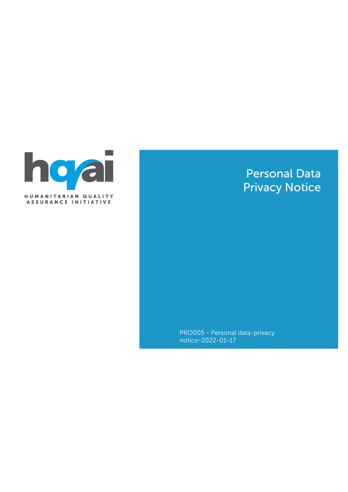

# Personal Data Privacy Notice

PRO005 - Personal data-privacy notice-2022-01-17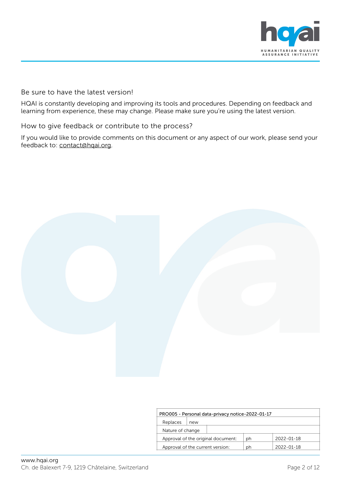

#### Be sure to have the latest version!

HQAI is constantly developing and improving its tools and procedures. Depending on feedback and learning from experience, these may change. Please make sure you're using the latest version.

#### How to give feedback or contribute to the process?

If you would like to provide comments on this document or any aspect of our work, please send your feedback to: [contact@hqai.org](mailto:contact@hqai.org).



| PRO005 - Personal data-privacy notice-2022-01-17 |     |    |                  |                  |  |
|--------------------------------------------------|-----|----|------------------|------------------|--|
| Replaces                                         | new |    |                  |                  |  |
| Nature of change                                 |     |    |                  |                  |  |
| Approval of the original document:               |     | ph | $2022 - 01 - 18$ |                  |  |
| Approval of the current version:                 |     |    | ph               | $2022 - 01 - 18$ |  |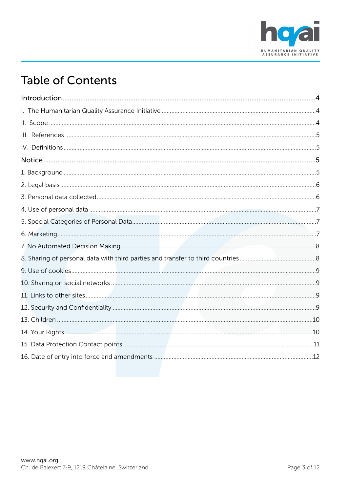

# **Table of Contents**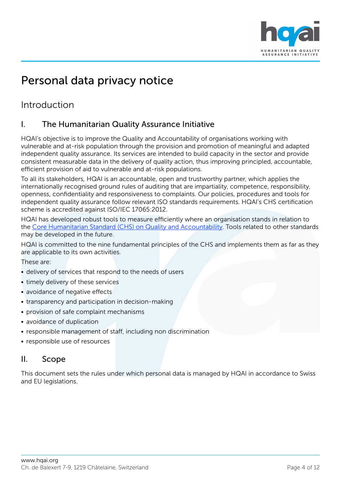

# Personal data privacy notice

# <span id="page-3-0"></span>Introduction

# <span id="page-3-1"></span>I. The Humanitarian Quality Assurance Initiative

HQAI's objective is to improve the Quality and Accountability of organisations working with vulnerable and at-risk population through the provision and promotion of meaningful and adapted independent quality assurance. Its services are intended to build capacity in the sector and provide consistent measurable data in the delivery of quality action, thus improving principled, accountable, efficient provision of aid to vulnerable and at-risk populations.

To all its stakeholders, HQAI is an accountable, open and trustworthy partner, which applies the internationally recognised ground rules of auditing that are impartiality, competence, responsibility, openness, confidentiality and responsiveness to complaints. Our policies, procedures and tools for independent quality assurance follow relevant ISO standards requirements. HQAI's CHS certification scheme is accredited against ISO/IEC 17065:2012.

HQAI has developed robust tools to measure efficiently where an organisation stands in relation to the [Core Humanitarian Standard \(CHS\) on Quality and Accountability.](http://www.corehumanitarianstandard.org/) Tools related to other standards may be developed in the future.

HQAI is committed to the nine fundamental principles of the CHS and implements them as far as they are applicable to its own activities.

These are:

- delivery of services that respond to the needs of users
- timely delivery of these services
- avoidance of negative effects
- transparency and participation in decision-making
- provision of safe complaint mechanisms
- avoidance of duplication
- responsible management of staff, including non discrimination
- responsible use of resources

# <span id="page-3-2"></span>II. Scope

This document sets the rules under which personal data is managed by HQAI in accordance to Swiss and EU legislations.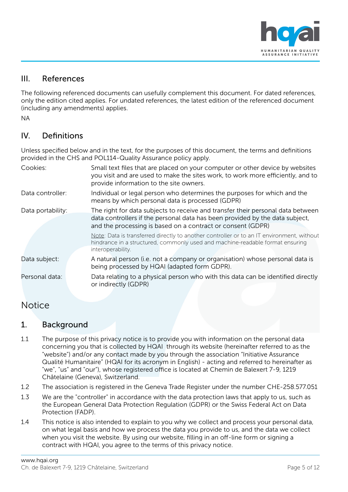

# <span id="page-4-0"></span>III. References

The following referenced documents can usefully complement this document. For dated references, only the edition cited applies. For undated references, the latest edition of the referenced document (including any amendments) applies.

NA

# <span id="page-4-1"></span>IV. Definitions

Unless specified below and in the text, for the purposes of this document, the terms and definitions provided in the CHS and POL114-Quality Assurance policy apply.

| Cookies:          | Small text files that are placed on your computer or other device by websites<br>you visit and are used to make the sites work, to work more efficiently, and to<br>provide information to the site owners.                    |  |  |
|-------------------|--------------------------------------------------------------------------------------------------------------------------------------------------------------------------------------------------------------------------------|--|--|
| Data controller:  | Individual or legal person who determines the purposes for which and the<br>means by which personal data is processed (GDPR)                                                                                                   |  |  |
| Data portability: | The right for data subjects to receive and transfer their personal data between<br>data controllers if the personal data has been provided by the data subject,<br>and the processing is based on a contract or consent (GDPR) |  |  |
|                   | Note: Data is transferred directly to another controller or to an IT environment, without<br>hindrance in a structured, commonly used and machine-readable format ensuring<br>interoperability.                                |  |  |
| Data subject:     | A natural person (i.e. not a company or organisation) whose personal data is<br>being processed by HQAI (adapted form GDPR).                                                                                                   |  |  |
| Personal data:    | Data relating to a physical person who with this data can be identified directly<br>or indirectly (GDPR)                                                                                                                       |  |  |

# <span id="page-4-2"></span>**Notice**

# <span id="page-4-3"></span>1. Background

- 1.1 The purpose of this privacy notice is to provide you with information on the personal data concerning you that is collected by HQAI through its website (hereinafter referred to as the "website") and/or any contact made by you through the association "Initiative Assurance Qualité Humanitaire" (HQAI for its acronym in English) - acting and referred to hereinafter as "we", "us" and "our"), whose registered office is located at Chemin de Balexert 7-9, 1219 Châtelaine (Geneva), Switzerland.
- 1.2 The association is registered in the Geneva Trade Register under the number CHE-258.577.051
- 1.3 We are the "controller" in accordance with the data protection laws that apply to us, such as the European General Data Protection Regulation (GDPR) or the Swiss Federal Act on Data Protection (FADP).
- 1.4 This notice is also intended to explain to you why we collect and process your personal data, on what legal basis and how we process the data you provide to us, and the data we collect when you visit the website. By using our website, filling in an off-line form or signing a contract with HQAI, you agree to the terms of this privacy notice.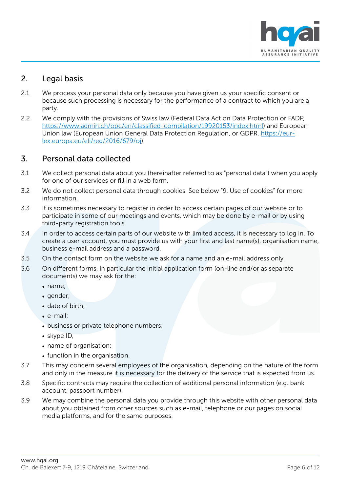

# <span id="page-5-0"></span>2. Legal basis

- 2.1 We process your personal data only because you have given us your specific consent or because such processing is necessary for the performance of a contract to which you are a party.
- 2.2 We comply with the provisions of Swiss law (Federal Data Act on Data Protection or FADP, [https://www.admin.ch/opc/en/classified-compilation/19920153/index.html\)](https://www.admin.ch/opc/en/classified-compilation/19920153/index.html) and European Union law (European Union General Data Protection Regulation, or GDPR, [https://eur](https://eur-lex.europa.eu/eli/reg/2016/679/oj)[lex.europa.eu/eli/reg/2016/679/oj\)](https://eur-lex.europa.eu/eli/reg/2016/679/oj).

# <span id="page-5-1"></span>3. Personal data collected

- 3.1 We collect personal data about you (hereinafter referred to as "personal data") when you apply for one of our services or fill in a web form.
- 3.2 We do not collect personal data through cookies. See below "9. Use of cookies" for more information.
- 3.3 It is sometimes necessary to register in order to access certain pages of our website or to participate in some of our meetings and events, which may be done by e-mail or by using third-party registration tools.
- 3.4 In order to access certain parts of our website with limited access, it is necessary to log in. To create a user account, you must provide us with your first and last name(s), organisation name, business e-mail address and a password.
- 3.5 On the contact form on the website we ask for a name and an e-mail address only.
- 3.6 On different forms, in particular the initial application form (on-line and/or as separate documents) we may ask for the:
	- name;
	- gender;
	- date of birth;
	- e-mail;
	- business or private telephone numbers;
	- skype ID,
	- name of organisation;
	- function in the organisation.
- 3.7 This may concern several employees of the organisation, depending on the nature of the form and only in the measure it is necessary for the delivery of the service that is expected from us.
- 3.8 Specific contracts may require the collection of additional personal information (e.g. bank account, passport number).
- 3.9 We may combine the personal data you provide through this website with other personal data about you obtained from other sources such as e-mail, telephone or our pages on social media platforms, and for the same purposes.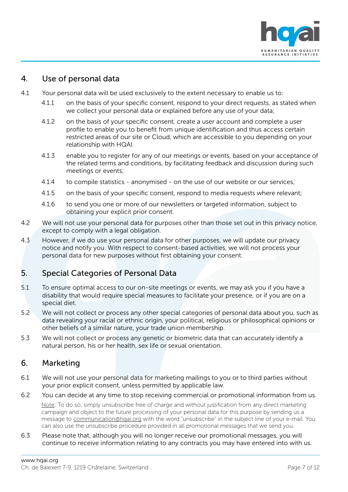

## <span id="page-6-0"></span>4. Use of personal data

- 4.1 Your personal data will be used exclusively to the extent necessary to enable us to:
	- 4.1.1 on the basis of your specific consent, respond to your direct requests, as stated when we collect your personal data or explained before any use of your data;
	- 4.1.2 on the basis of your specific consent, create a user account and complete a user profile to enable you to benefit from unique identification and thus access certain restricted areas of our site or Cloud, which are accessible to you depending on your relationship with HQAI.
	- 4.1.3 enable you to register for any of our meetings or events, based on your acceptance of the related terms and conditions, by facilitating feedback and discussion during such meetings or events;
	- 4.1.4 to compile statistics anonymised on the use of our website or our services;
	- 4.1.5 on the basis of your specific consent, respond to media requests where relevant;
	- 4.1.6 to send you one or more of our newsletters or targeted information, subject to obtaining your explicit prior consent.
- 4.2 We will not use your personal data for purposes other than those set out in this privacy notice, except to comply with a legal obligation.
- 4.3 However, if we do use your personal data for other purposes, we will update our privacy notice and notify you. With respect to consent-based activities, we will not process your personal data for new purposes without first obtaining your consent.

# <span id="page-6-1"></span>5. Special Categories of Personal Data

- 5.1 To ensure optimal access to our on-site meetings or events, we may ask you if you have a disability that would require special measures to facilitate your presence, or if you are on a special diet.
- 5.2 We will not collect or process any other special categories of personal data about you, such as data revealing your racial or ethnic origin, your political, religious or philosophical opinions or other beliefs of a similar nature, your trade union membership.
- 5.3 We will not collect or process any genetic or biometric data that can accurately identify a natural person, his or her health, sex life or sexual orientation.

# <span id="page-6-2"></span>6. Marketing

- 6.1 We will not use your personal data for marketing mailings to you or to third parties without your prior explicit consent, unless permitted by applicable law.
- 6.2 You can decide at any time to stop receiving commercial or promotional information from us. Note: To do so, simply unsubscribe free of charge and without justification from any direct marketing campaign and object to the future processing of your personal data for this purpose by sending us a message to [communication@hqai.org](mailto:communication@hqai.org) with the word "unsubscribe" in the subject line of your e-mail. You
- 6.3 Please note that, although you will no longer receive our promotional messages, you will continue to receive information relating to any contracts you may have entered into with us.

can also use the unsubscribe procedure provided in all promotional messages that we send you.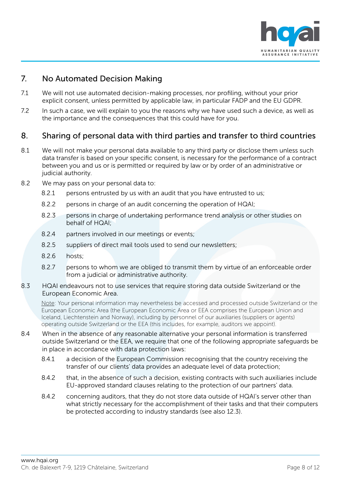

# <span id="page-7-0"></span>7. No Automated Decision Making

- 7.1 We will not use automated decision-making processes, nor profiling, without your prior explicit consent, unless permitted by applicable law, in particular FADP and the EU GDPR.
- 7.2 In such a case, we will explain to you the reasons why we have used such a device, as well as the importance and the consequences that this could have for you.

# <span id="page-7-1"></span>8. Sharing of personal data with third parties and transfer to third countries

- 8.1 We will not make your personal data available to any third party or disclose them unless such data transfer is based on your specific consent, is necessary for the performance of a contract between you and us or is permitted or required by law or by order of an administrative or judicial authority.
- 8.2 We may pass on your personal data to:
	- 8.2.1 persons entrusted by us with an audit that you have entrusted to us;
	- 8.2.2 persons in charge of an audit concerning the operation of HQAI;
	- 8.2.3 persons in charge of undertaking performance trend analysis or other studies on behalf of HQAI;
	- 8.2.4 partners involved in our meetings or events;
	- 8.2.5 suppliers of direct mail tools used to send our newsletters;
	- 8.2.6 hosts;
	- 8.2.7 persons to whom we are obliged to transmit them by virtue of an enforceable order from a judicial or administrative authority.
- 8.3 HQAI endeavours not to use services that require storing data outside Switzerland or the European Economic Area.

Note: Your personal information may nevertheless be accessed and processed outside Switzerland or the European Economic Area (the European Economic Area or EEA comprises the European Union and Iceland, Liechtenstein and Norway), including by personnel of our auxiliaries (suppliers or agents) operating outside Switzerland or the EEA (this includes, for example, auditors we appoint).

- 8.4 When in the absence of any reasonable alternative your personal information is transferred outside Switzerland or the EEA, we require that one of the following appropriate safeguards be in place in accordance with data protection laws:
	- 8.4.1 a decision of the European Commission recognising that the country receiving the transfer of our clients' data provides an adequate level of data protection;
	- 8.4.2 that, in the absence of such a decision, existing contracts with such auxiliaries include EU-approved standard clauses relating to the protection of our partners' data.
	- 8.4.2 concerning auditors, that they do not store data outside of HQAI's server other than what strictly necessary for the accomplishment of their tasks and that their computers be protected according to industry standards (see also 12.3).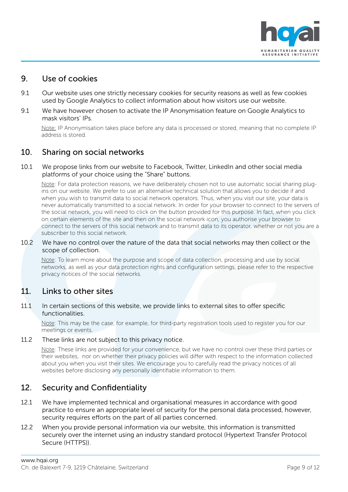

### <span id="page-8-0"></span>9. Use of cookies

- 9.1 Our website uses one strictly necessary cookies for security reasons as well as few cookies used by Google Analytics to collect information about how visitors use our website.
- 9.1 We have however chosen to activate the IP Anonymisation feature on Google Analytics to mask visitors' IPs.

Note: IP Anonymisation takes place before any data is processed or stored, meaning that no complete IP address is stored.

### <span id="page-8-1"></span>10. Sharing on social networks

#### 10.1 We propose links from our website to Facebook, Twitter, LinkedIn and other social media platforms of your choice using the "Share" buttons.

Note: For data protection reasons, we have deliberately chosen not to use automatic social sharing plugins on our website. We prefer to use an alternative technical solution that allows you to decide if and when you wish to transmit data to social network operators. Thus, when you visit our site, your data is never automatically transmitted to a social network. In order for your browser to connect to the servers of the social network, you will need to click on the button provided for this purpose. In fact, when you click on certain elements of the site and then on the social network icon, you authorise your browser to connect to the servers of this social network and to transmit data to its operator, whether or not you are a subscriber to this social network.

#### 10.2 We have no control over the nature of the data that social networks may then collect or the scope of collection.

Note: To learn more about the purpose and scope of data collection, processing and use by social networks, as well as your data protection rights and configuration settings, please refer to the respective privacy notices of the social networks.

### <span id="page-8-2"></span>11. Links to other sites

#### 11.1 In certain sections of this website, we provide links to external sites to offer specific functionalities.

Note: This may be the case, for example, for third-party registration tools used to register you for our meetings or events.

#### 11.2 These links are not subject to this privacy notice.

Note: These links are provided for your convenience, but we have no control over these third parties or their websites, nor on whether their privacy policies will differ with respect to the information collected about you when you visit their sites. We encourage you to carefully read the privacy notices of all websites before disclosing any personally identifiable information to them.

# <span id="page-8-3"></span>12. Security and Confidentiality

- 12.1 We have implemented technical and organisational measures in accordance with good practice to ensure an appropriate level of security for the personal data processed, however, security requires efforts on the part of all parties concerned.
- 12.2 When you provide personal information via our website, this information is transmitted securely over the internet using an industry standard protocol (Hypertext Transfer Protocol Secure (HTTPS)).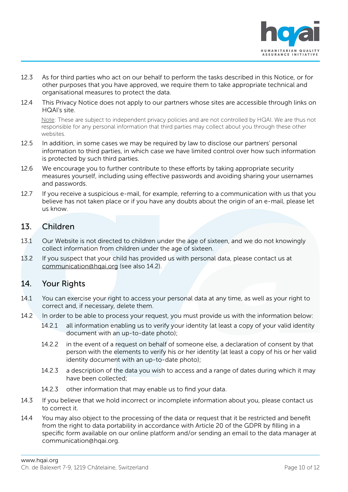

- 12.3 As for third parties who act on our behalf to perform the tasks described in this Notice, or for other purposes that you have approved, we require them to take appropriate technical and organisational measures to protect the data.
- 12.4 This Privacy Notice does not apply to our partners whose sites are accessible through links on HQAI's site.

Note: These are subject to independent privacy policies and are not controlled by HQAI. We are thus not responsible for any personal information that third parties may collect about you through these other websites.

- 12.5 In addition, in some cases we may be required by law to disclose our partners' personal information to third parties, in which case we have limited control over how such information is protected by such third parties.
- 12.6 We encourage you to further contribute to these efforts by taking appropriate security measures yourself, including using effective passwords and avoiding sharing your usernames and passwords.
- 12.7 If you receive a suspicious e-mail, for example, referring to a communication with us that you believe has not taken place or if you have any doubts about the origin of an e-mail, please let us know.

# <span id="page-9-0"></span>13. Children

- 13.1 Our Website is not directed to children under the age of sixteen, and we do not knowingly collect information from children under the age of sixteen.
- 13.2 If you suspect that your child has provided us with personal data, please contact us at [communication@hqai.org](mailto:communication@hqai.org) (see also 14.2).

# <span id="page-9-1"></span>14. Your Rights

- 14.1 You can exercise your right to access your personal data at any time, as well as your right to correct and, if necessary, delete them.
- 14.2 In order to be able to process your request, you must provide us with the information below:
	- 14.2.1 all information enabling us to verify your identity (at least a copy of your valid identity document with an up-to-date photo);
	- 14.2.2 in the event of a request on behalf of someone else, a declaration of consent by that person with the elements to verify his or her identity (at least a copy of his or her valid identity document with an up-to-date photo);
	- 14.2.3 a description of the data you wish to access and a range of dates during which it may have been collected;
	- 14.2.3 other information that may enable us to find your data.
- 14.3 If you believe that we hold incorrect or incomplete information about you, please contact us to correct it.
- 14.4 You may also object to the processing of the data or request that it be restricted and benefit from the right to data portability in accordance with Article 20 of the GDPR by filling in a specific form available on our online platform and/or sending an email to the data manager at communication@hqai.org.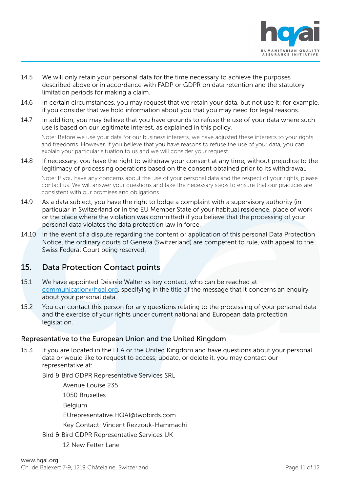

- 14.5 We will only retain your personal data for the time necessary to achieve the purposes described above or in accordance with FADP or GDPR on data retention and the statutory limitation periods for making a claim.
- 14.6 In certain circumstances, you may request that we retain your data, but not use it; for example, if you consider that we hold information about you that you may need for legal reasons.
- 14.7 In addition, you may believe that you have grounds to refuse the use of your data where such use is based on our legitimate interest, as explained in this policy.

Note: Before we use your data for our business interests, we have adjusted these interests to your rights and freedoms. However, if you believe that you have reasons to refuse the use of your data, you can explain your particular situation to us and we will consider your request.

14.8 If necessary, you have the right to withdraw your consent at any time, without prejudice to the legitimacy of processing operations based on the consent obtained prior to its withdrawal.

Note: If you have any concerns about the use of your personal data and the respect of your rights, please contact us. We will answer your questions and take the necessary steps to ensure that our practices are consistent with our promises and obligations.

- 14.9 As a data subject, you have the right to lodge a complaint with a supervisory authority (in particular in Switzerland or in the EU Member State of your habitual residence, place of work or the place where the violation was committed) if you believe that the processing of your personal data violates the data protection law in force.
- 14.10 In the event of a dispute regarding the content or application of this personal Data Protection Notice, the ordinary courts of Geneva (Switzerland) are competent to rule, with appeal to the Swiss Federal Court being reserved.

# <span id="page-10-0"></span>15. Data Protection Contact points

- 15.1 We have appointed Désirée Walter as key contact, who can be reached at [communication@hqai.org,](mailto:communication@hqai.org) specifying in the title of the message that it concerns an enquiry about your personal data.
- 15.2 You can contact this person for any questions relating to the processing of your personal data and the exercise of your rights under current national and European data protection legislation.

#### Representative to the European Union and the United Kingdom

15.3 If you are located in the EEA or the United Kingdom and have questions about your personal data or would like to request to access, update, or delete it, you may contact our representative at:

Bird & Bird GDPR Representative Services SRL

Avenue Louise 235 1050 Bruxelles Belgium [EUrepresentative.HQAI@twobirds.com](mailto:EUrepresentative.HQAI@twobirds.com) Key Contact: Vincent Rezzouk-Hammachi Bird & Bird GDPR Representative Services UK 12 New Fetter Lane